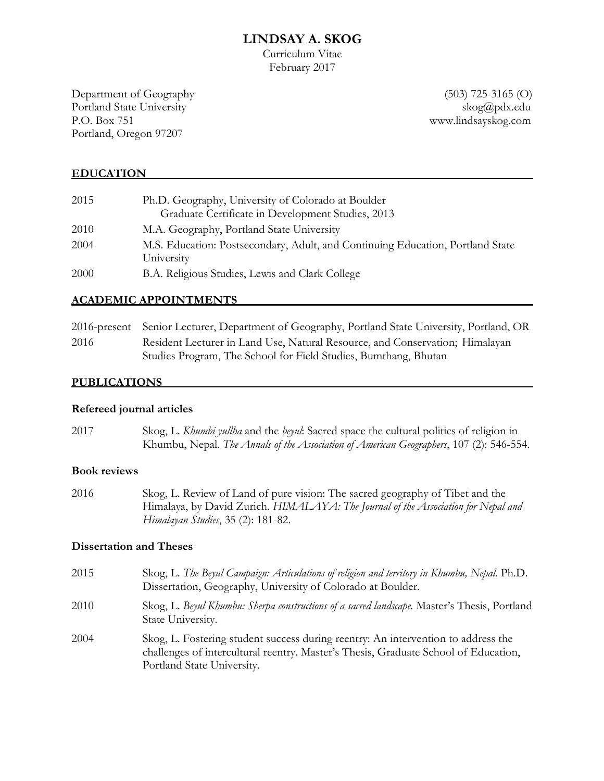# **LINDSAY A. SKOG**

Curriculum Vitae February 2017

Department of Geography (503) 725-3165 (O) Portland State University skog@pdx.edu P.O. Box 751 www.lindsayskog.com Portland, Oregon 97207

#### **EDUCATION**

| 2015 | Ph.D. Geography, University of Colorado at Boulder                                           |
|------|----------------------------------------------------------------------------------------------|
|      | Graduate Certificate in Development Studies, 2013                                            |
| 2010 | M.A. Geography, Portland State University                                                    |
| 2004 | M.S. Education: Postsecondary, Adult, and Continuing Education, Portland State<br>University |
| 2000 | B.A. Religious Studies, Lewis and Clark College                                              |

#### **ACADEMIC APPOINTMENTS**

|      | 2016-present Senior Lecturer, Department of Geography, Portland State University, Portland, OR |
|------|------------------------------------------------------------------------------------------------|
| 2016 | Resident Lecturer in Land Use, Natural Resource, and Conservation; Himalayan                   |
|      | Studies Program, The School for Field Studies, Bumthang, Bhutan                                |

#### **PUBLICATIONS**

#### **Refereed journal articles**

| 2017 | Skog, L. Khumbi yullha and the beyul. Sacred space the cultural politics of religion in |
|------|-----------------------------------------------------------------------------------------|
|      | Khumbu, Nepal. The Annals of the Association of American Geographers, 107 (2): 546-554. |

#### **Book reviews**

2016 Skog, L. Review of Land of pure vision: The sacred geography of Tibet and the Himalaya, by David Zurich. *HIMALAYA: The Journal of the Association for Nepal and Himalayan Studies*, 35 (2): 181-82.

#### **Dissertation and Theses**

2015 Skog, L. *The Beyul Campaign: Articulations of religion and territory in Khumbu, Nepal.* Ph.D. Dissertation, Geography, University of Colorado at Boulder. 2010 Skog, L. *Beyul Khumbu: Sherpa constructions of a sacred landscape.* Master's Thesis, Portland State University. 2004 Skog, L. Fostering student success during reentry: An intervention to address the challenges of intercultural reentry. Master's Thesis, Graduate School of Education, Portland State University.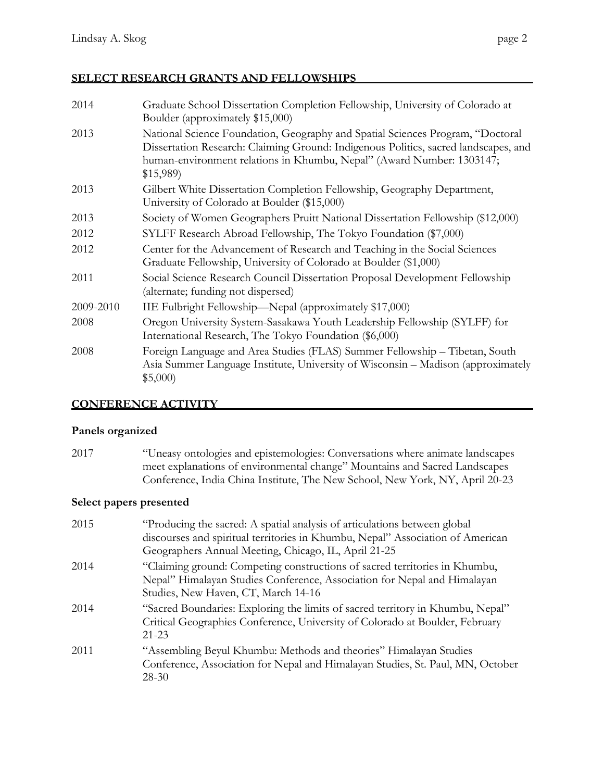# **SELECT RESEARCH GRANTS AND FELLOWSHIPS**

| 2014      | Graduate School Dissertation Completion Fellowship, University of Colorado at<br>Boulder (approximately \$15,000)                                                                                                                                          |
|-----------|------------------------------------------------------------------------------------------------------------------------------------------------------------------------------------------------------------------------------------------------------------|
| 2013      | National Science Foundation, Geography and Spatial Sciences Program, "Doctoral<br>Dissertation Research: Claiming Ground: Indigenous Politics, sacred landscapes, and<br>human-environment relations in Khumbu, Nepal" (Award Number: 1303147;<br>\$15,989 |
| 2013      | Gilbert White Dissertation Completion Fellowship, Geography Department,<br>University of Colorado at Boulder (\$15,000)                                                                                                                                    |
| 2013      | Society of Women Geographers Pruitt National Dissertation Fellowship (\$12,000)                                                                                                                                                                            |
| 2012      | SYLFF Research Abroad Fellowship, The Tokyo Foundation (\$7,000)                                                                                                                                                                                           |
| 2012      | Center for the Advancement of Research and Teaching in the Social Sciences<br>Graduate Fellowship, University of Colorado at Boulder (\$1,000)                                                                                                             |
| 2011      | Social Science Research Council Dissertation Proposal Development Fellowship<br>(alternate; funding not dispersed)                                                                                                                                         |
| 2009-2010 | IIE Fulbright Fellowship—Nepal (approximately \$17,000)                                                                                                                                                                                                    |
| 2008      | Oregon University System-Sasakawa Youth Leadership Fellowship (SYLFF) for<br>International Research, The Tokyo Foundation (\$6,000)                                                                                                                        |
| 2008      | Foreign Language and Area Studies (FLAS) Summer Fellowship - Tibetan, South<br>Asia Summer Language Institute, University of Wisconsin - Madison (approximately<br>\$5,000                                                                                 |

## **CONFERENCE ACTIVITY**

#### **Panels organized**

2017 "Uneasy ontologies and epistemologies: Conversations where animate landscapes meet explanations of environmental change" Mountains and Sacred Landscapes Conference, India China Institute, The New School, New York, NY, April 20-23

# **Select papers presented**

| 2015 | "Producing the sacred: A spatial analysis of articulations between global<br>discourses and spiritual territories in Khumbu, Nepal" Association of American<br>Geographers Annual Meeting, Chicago, IL, April 21-25 |
|------|---------------------------------------------------------------------------------------------------------------------------------------------------------------------------------------------------------------------|
| 2014 | "Claiming ground: Competing constructions of sacred territories in Khumbu,<br>Nepal" Himalayan Studies Conference, Association for Nepal and Himalayan<br>Studies, New Haven, CT, March 14-16                       |
| 2014 | "Sacred Boundaries: Exploring the limits of sacred territory in Khumbu, Nepal"<br>Critical Geographies Conference, University of Colorado at Boulder, February<br>$21 - 23$                                         |
| 2011 | "Assembling Beyul Khumbu: Methods and theories" Himalayan Studies<br>Conference, Association for Nepal and Himalayan Studies, St. Paul, MN, October<br>$28 - 30$                                                    |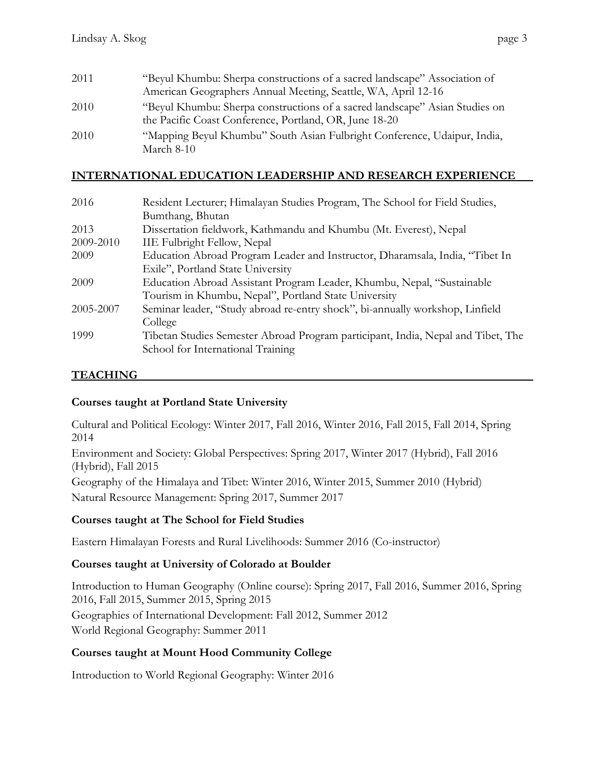| 2011 | "Beyul Khumbu: Sherpa constructions of a sacred landscape" Association of                                                             |
|------|---------------------------------------------------------------------------------------------------------------------------------------|
|      | American Geographers Annual Meeting, Seattle, WA, April 12-16                                                                         |
| 2010 | "Beyul Khumbu: Sherpa constructions of a sacred landscape" Asian Studies on<br>the Pacific Coast Conference, Portland, OR, June 18-20 |
| 2010 | "Mapping Beyul Khumbu" South Asian Fulbright Conference, Udaipur, India,<br>March $8-10$                                              |

## **INTERNATIONAL EDUCATION LEADERSHIP AND RESEARCH EXPERIENCE**

| 2016      | Resident Lecturer; Himalayan Studies Program, The School for Field Studies,      |
|-----------|----------------------------------------------------------------------------------|
|           | Bumthang, Bhutan                                                                 |
| 2013      | Dissertation fieldwork, Kathmandu and Khumbu (Mt. Everest), Nepal                |
| 2009-2010 | <b>IIE Fulbright Fellow, Nepal</b>                                               |
| 2009      | Education Abroad Program Leader and Instructor, Dharamsala, India, "Tibet In     |
|           | Exile", Portland State University                                                |
| 2009      | Education Abroad Assistant Program Leader, Khumbu, Nepal, "Sustainable"          |
|           | Tourism in Khumbu, Nepal", Portland State University                             |
| 2005-2007 | Seminar leader, "Study abroad re-entry shock", bi-annually workshop, Linfield    |
|           | College                                                                          |
| 1999      | Tibetan Studies Semester Abroad Program participant, India, Nepal and Tibet, The |
|           | School for International Training                                                |

## **TEACHING**

## **Courses taught at Portland State University**

Cultural and Political Ecology: Winter 2017, Fall 2016, Winter 2016, Fall 2015, Fall 2014, Spring 2014

Environment and Society: Global Perspectives: Spring 2017, Winter 2017 (Hybrid), Fall 2016 (Hybrid), Fall 2015

Geography of the Himalaya and Tibet: Winter 2016, Winter 2015, Summer 2010 (Hybrid)

Natural Resource Management: Spring 2017, Summer 2017

## **Courses taught at The School for Field Studies**

Eastern Himalayan Forests and Rural Livelihoods: Summer 2016 (Co-instructor)

# **Courses taught at University of Colorado at Boulder**

Introduction to Human Geography (Online course): Spring 2017, Fall 2016, Summer 2016, Spring 2016, Fall 2015, Summer 2015, Spring 2015

Geographies of International Development: Fall 2012, Summer 2012 World Regional Geography: Summer 2011

## **Courses taught at Mount Hood Community College**

Introduction to World Regional Geography: Winter 2016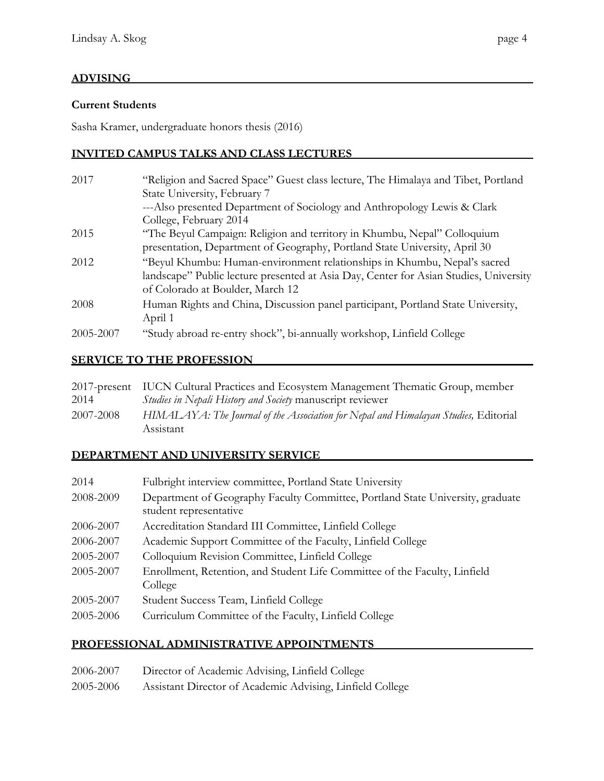# **ADVISING**

#### **Current Students**

Sasha Kramer, undergraduate honors thesis (2016)

#### **INVITED CAMPUS TALKS AND CLASS LECTURES**

| 2017      | "Religion and Sacred Space" Guest class lecture, The Himalaya and Tibet, Portland     |
|-----------|---------------------------------------------------------------------------------------|
|           | State University, February 7                                                          |
|           | ---Also presented Department of Sociology and Anthropology Lewis & Clark              |
|           | College, February 2014                                                                |
| 2015      | "The Beyul Campaign: Religion and territory in Khumbu, Nepal" Colloquium              |
|           | presentation, Department of Geography, Portland State University, April 30            |
| 2012      | "Beyul Khumbu: Human-environment relationships in Khumbu, Nepal's sacred              |
|           | landscape" Public lecture presented at Asia Day, Center for Asian Studies, University |
|           | of Colorado at Boulder, March 12                                                      |
| 2008      | Human Rights and China, Discussion panel participant, Portland State University,      |
|           | April 1                                                                               |
| 2005-2007 | "Study abroad re-entry shock", bi-annually workshop, Linfield College                 |

#### **SERVICE TO THE PROFESSION**

|           | 2017-present IUCN Cultural Practices and Ecosystem Management Thematic Group, member |
|-----------|--------------------------------------------------------------------------------------|
| 2014      | <i>Studies in Nepali History and Society</i> manuscript reviewer                     |
| 2007-2008 | HIMALAYA: The Journal of the Association for Nepal and Himalayan Studies, Editorial  |
|           | Assistant                                                                            |

# **DEPARTMENT AND UNIVERSITY SERVICE**

| 2014      | Fulbright interview committee, Portland State University                                                 |
|-----------|----------------------------------------------------------------------------------------------------------|
| 2008-2009 | Department of Geography Faculty Committee, Portland State University, graduate<br>student representative |
| 2006-2007 | Accreditation Standard III Committee, Linfield College                                                   |
| 2006-2007 | Academic Support Committee of the Faculty, Linfield College                                              |
| 2005-2007 | Colloquium Revision Committee, Linfield College                                                          |
| 2005-2007 | Enrollment, Retention, and Student Life Committee of the Faculty, Linfield<br>College                    |
| 2005-2007 | Student Success Team, Linfield College                                                                   |
| 2005-2006 | Curriculum Committee of the Faculty, Linfield College                                                    |

#### **PROFESSIONAL ADMINISTRATIVE APPOINTMENTS**

| 2006-2007 | Director of Academic Advising, Linfield College           |
|-----------|-----------------------------------------------------------|
| 2005-2006 | Assistant Director of Academic Advising, Linfield College |